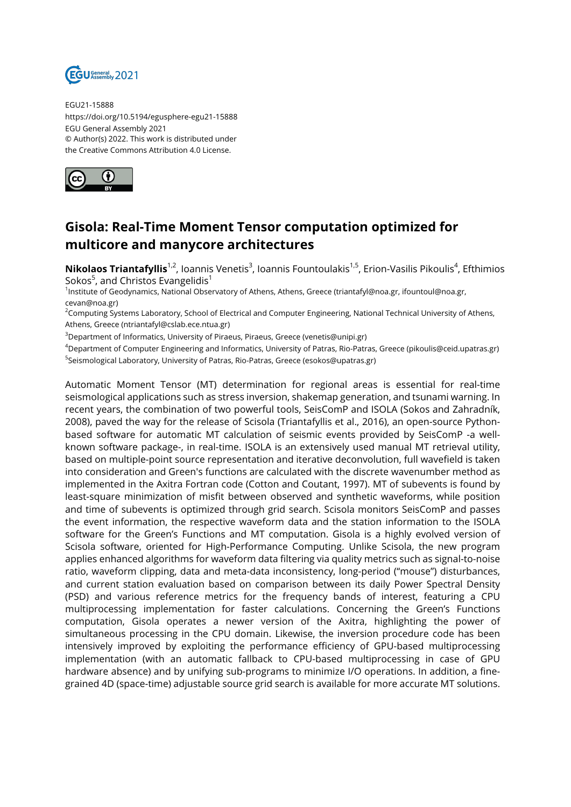

EGU21-15888 https://doi.org/10.5194/egusphere-egu21-15888 EGU General Assembly 2021 © Author(s) 2022. This work is distributed under the Creative Commons Attribution 4.0 License.



## **Gisola: Real-Time Moment Tensor computation optimized for multicore and manycore architectures**

**Nikolaos Triantafyllis**1<sup>,2</sup>, Ioannis Venetis<sup>3</sup>, Ioannis Fountoulakis<sup>1,5</sup>, Erion-Vasilis Pikoulis<sup>4</sup>, Efthimios Sokos $^5$ , and Christos Evangelidis $^1$ 

1 Institute of Geodynamics, National Observatory of Athens, Athens, Greece (triantafyl@noa.gr, ifountoul@noa.gr, cevan@noa.gr)

<sup>2</sup>Computing Systems Laboratory, School of Electrical and Computer Engineering, National Technical University of Athens, Athens, Greece (ntriantafyl@cslab.ece.ntua.gr)

<sup>3</sup>Department of Informatics, University of Piraeus, Piraeus, Greece (venetis@unipi.gr)

<sup>4</sup>Department of Computer Engineering and Informatics, University of Patras, Rio-Patras, Greece (pikoulis@ceid.upatras.gr) <sup>5</sup>Seismological Laboratory, University of Patras, Rio-Patras, Greece (esokos@upatras.gr)

Automatic Moment Tensor (MT) determination for regional areas is essential for real-time seismological applications such as stress inversion, shakemap generation, and tsunami warning. In recent years, the combination of two powerful tools, SeisComP and ISOLA (Sokos and Zahradník, 2008), paved the way for the release of Scisola (Triantafyllis et al., 2016), an open-source Pythonbased software for automatic MT calculation of seismic events provided by SeisComP -a wellknown software package-, in real-time. ISOLA is an extensively used manual MT retrieval utility, based on multiple-point source representation and iterative deconvolution, full wavefield is taken into consideration and Green's functions are calculated with the discrete wavenumber method as implemented in the Axitra Fortran code (Cotton and Coutant, 1997). MT of subevents is found by least-square minimization of misfit between observed and synthetic waveforms, while position and time of subevents is optimized through grid search. Scisola monitors SeisComP and passes the event information, the respective waveform data and the station information to the ISOLA software for the Green's Functions and MT computation. Gisola is a highly evolved version of Scisola software, oriented for High-Performance Computing. Unlike Scisola, the new program applies enhanced algorithms for waveform data filtering via quality metrics such as signal-to-noise ratio, waveform clipping, data and meta-data inconsistency, long-period ("mouse") disturbances, and current station evaluation based on comparison between its daily Power Spectral Density (PSD) and various reference metrics for the frequency bands of interest, featuring a CPU multiprocessing implementation for faster calculations. Concerning the Green's Functions computation, Gisola operates a newer version of the Axitra, highlighting the power of simultaneous processing in the CPU domain. Likewise, the inversion procedure code has been intensively improved by exploiting the performance efficiency of GPU-based multiprocessing implementation (with an automatic fallback to CPU-based multiprocessing in case of GPU hardware absence) and by unifying sub-programs to minimize I/O operations. In addition, a finegrained 4D (space-time) adjustable source grid search is available for more accurate MT solutions.